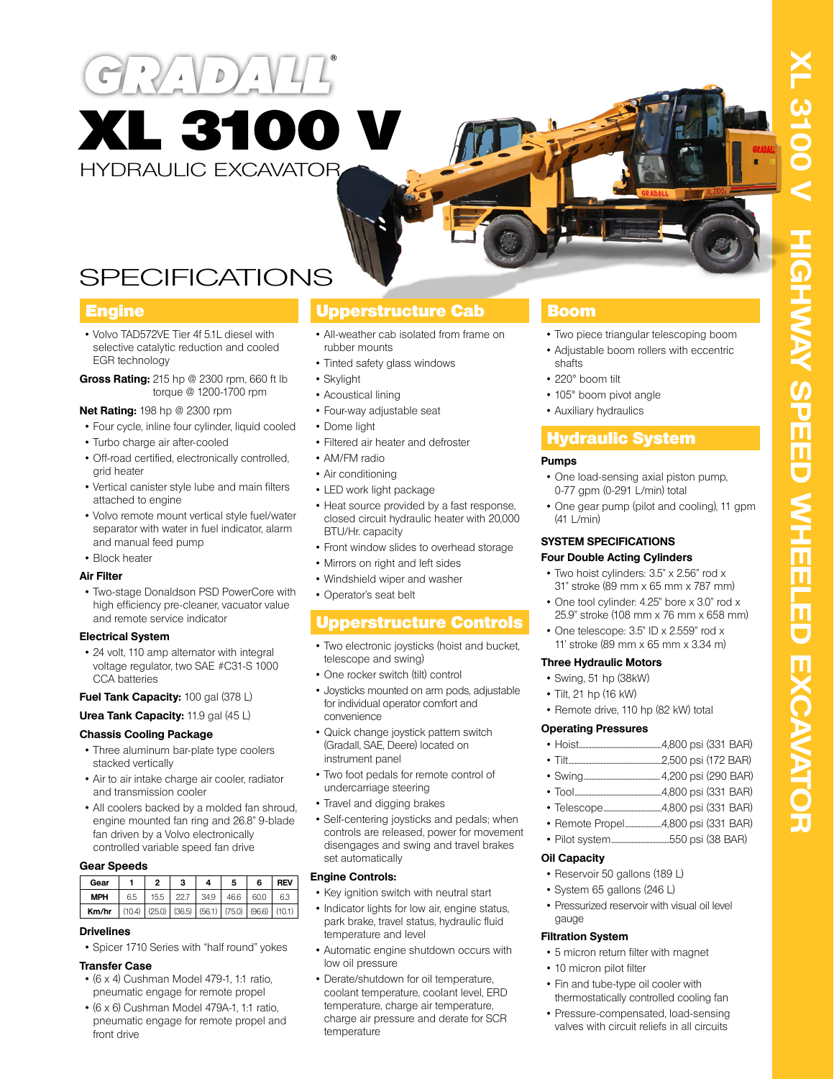# $D$ XL 3100 V HYDRAULIC EXCAVATOR

# SPECIFICATIONS

# **Engine**

- Volvo TAD572VE Tier 4f 5.1L diesel with selective catalytic reduction and cooled EGR technology
- **Gross Rating:** 215 hp @ 2300 rpm, 660 ft lb torque @ 1200-1700 rpm

#### **Net Rating:** 198 hp @ 2300 rpm

- Four cycle, inline four cylinder, liquid cooled
- Turbo charge air after-cooled
- Off-road certified, electronically controlled, grid heater
- Vertical canister style lube and main filters attached to engine
- Volvo remote mount vertical style fuel/water separator with water in fuel indicator, alarm and manual feed pump
- Block heater

#### **Air Filter**

• Two-stage Donaldson PSD PowerCore with high efficiency pre-cleaner, vacuator value and remote service indicator

#### **Electrical System**

• 24 volt, 110 amp alternator with integral voltage regulator, two SAE #C31-S 1000 CCA batteries

#### **Fuel Tank Capacity:** 100 gal (378 L)

#### **Urea Tank Capacity:** 11.9 gal (45 L)

#### **Chassis Cooling Package**

- Three aluminum bar-plate type coolers stacked vertically
- Air to air intake charge air cooler, radiator and transmission cooler
- All coolers backed by a molded fan shroud, engine mounted fan ring and 26.8" 9-blade fan driven by a Volvo electronically controlled variable speed fan drive

#### **Gear Speeds**

| Gear       |        | 2    | 3   |                                              | 5    | 6    | <b>REV</b> |
|------------|--------|------|-----|----------------------------------------------|------|------|------------|
| <b>MPH</b> | 6.5    | 15.5 | 227 | 34.9                                         | 46.6 | 60.0 | 6.3        |
| Km/hr      | (10.4) |      |     | $(25.0)$ $(36.5)$ $(56.1)$ $(75.0)$ $(96.6)$ |      |      | (10.1)     |

#### **Drivelines**

• Spicer 1710 Series with "half round" yokes

#### **Transfer Case**

- (6 x 4) Cushman Model 479-1, 1:1 ratio, pneumatic engage for remote propel
- (6 x 6) Cushman Model 479A-1, 1:1 ratio, pneumatic engage for remote propel and front drive

# Upperstructure Cab

- All-weather cab isolated from frame on rubber mounts
- Tinted safety glass windows
- Skylight
- Acoustical lining
- Four-way adjustable seat
- Dome light
- Filtered air heater and defroster
- AM/FM radio
- Air conditioning
- LED work light package
- Heat source provided by a fast response, closed circuit hydraulic heater with 20,000 BTU/Hr. capacity
- Front window slides to overhead storage
- Mirrors on right and left sides
- Windshield wiper and washer
- Operator's seat belt

# Upperstructure Controls

- Two electronic joysticks (hoist and bucket, telescope and swing)
- One rocker switch (tilt) control
- Joysticks mounted on arm pods, adjustable for individual operator comfort and convenience
- Quick change joystick pattern switch (Gradall, SAE, Deere) located on instrument panel
- Two foot pedals for remote control of undercarriage steering
- Travel and digging brakes
- Self-centering joysticks and pedals; when controls are released, power for movement disengages and swing and travel brakes set automatically

#### **Engine Controls:**

- Key ignition switch with neutral start
- Indicator lights for low air, engine status, park brake, travel status, hydraulic fluid temperature and level
- Automatic engine shutdown occurs with low oil pressure
- Derate/shutdown for oil temperature, coolant temperature, coolant level, ERD temperature, charge air temperature, charge air pressure and derate for SCR temperature

# Boom

- Two piece triangular telescoping boom
- Adjustable boom rollers with eccentric shafts
- 220° boom tilt
- 105° boom pivot angle
- Auxiliary hydraulics

# Hydraulic System

#### **Pumps**

- One load-sensing axial piston pump, 0-77 gpm (0-291 L/min) total
- One gear pump (pilot and cooling), 11 gpm  $(41 + /min)$

#### **SYSTEM SPECIFICATIONS Four Double Acting Cylinders**

- Two hoist cylinders: 3.5" x 2.56" rod x
- 31" stroke (89 mm x 65 mm x 787 mm)
- One tool cylinder: 4.25" bore x 3.0" rod x 25.9" stroke (108 mm x 76 mm x 658 mm)
- One telescope: 3.5" ID x 2.559" rod x 11' stroke (89 mm x 65 mm x 3.34 m)

#### **Three Hydraulic Motors**

- Swing, 51 hp (38kW)
- Tilt, 21 hp (16 kW)
- Remote drive, 110 hp (82 kW) total

#### **Operating Pressures**

- Hoist......................................................4,800 psi (331 BAR)
- Tilt.............................................................2,500 psi (172 BAR)
- Swing..................................................4,200 psi (290 BAR)
- Tool.........................................................4,800 psi (331 BAR)
- Telescope......................................4,800 psi (331 BAR)
- Remote Propel........................4,800 psi (331 BAR)
- Pilot system......................................550 psi (38 BAR)

#### **Oil Capacity**

- Reservoir 50 gallons (189 L)
- System 65 gallons (246 L)
- Pressurized reservoir with visual oil level gauge

#### **Filtration System**

- 5 micron return filter with magnet
- 10 micron pilot filter
- Fin and tube-type oil cooler with thermostatically controlled cooling fan
- Pressure-compensated, load-sensing valves with circuit reliefs in all circuits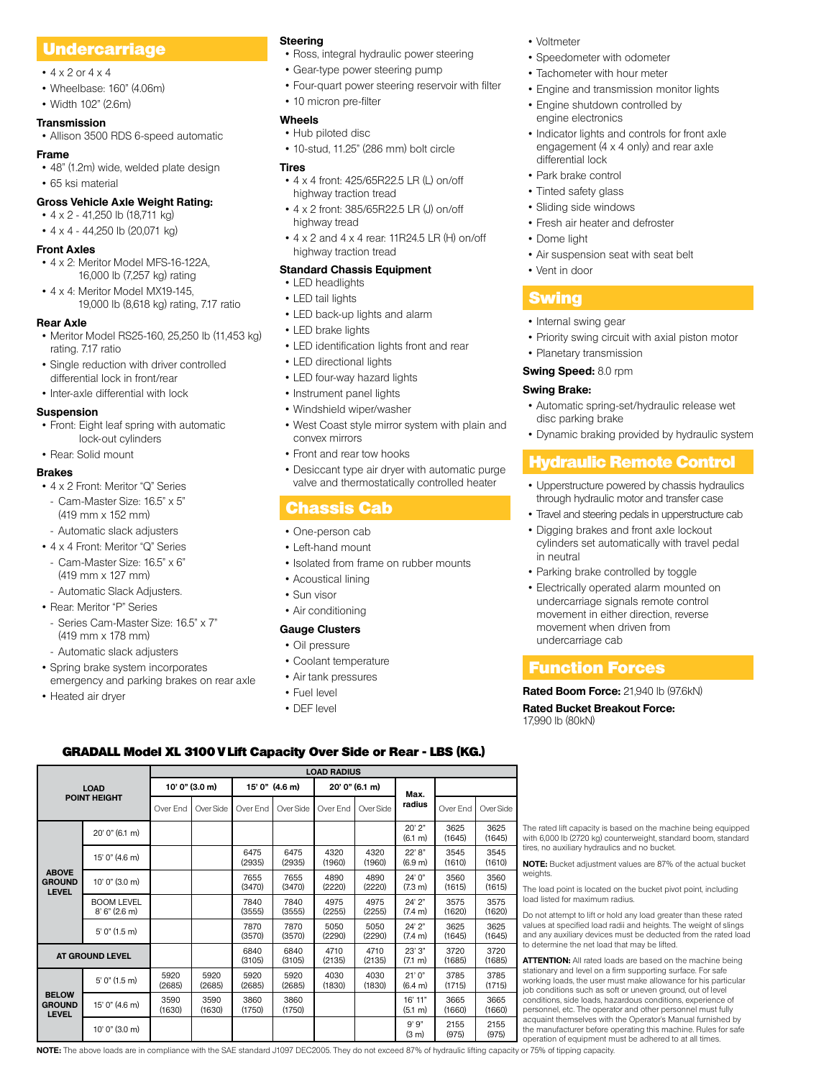# Undercarriage

- $4 \times 2$  or  $4 \times 4$
- Wheelbase: 160" (4.06m)
- Width 102" (2.6m)

#### **Transmission**

• Allison 3500 RDS 6-speed automatic

#### **Frame**

• 48" (1.2m) wide, welded plate design

• 65 ksi material

#### **Gross Vehicle Axle Weight Rating:**

- 4 x 2 41,250 lb (18,711 kg) • 4 x 4 - 44,250 lb (20,071 kg)
- 
- **Front Axles**
- 4 x 2: Meritor Model MFS-16-122A, 16,000 lb (7,257 kg) rating
- 4 x 4: Meritor Model MX19-145, 19,000 lb (8,618 kg) rating, 7.17 ratio

#### **Rear Axle**

- Meritor Model RS25-160, 25,250 lb (11,453 kg) rating. 7.17 ratio
- Single reduction with driver controlled differential lock in front/rear
- Inter-axle differential with lock

#### **Suspension**

- Front: Eight leaf spring with automatic lock-out cylinders
- Rear: Solid mount

#### **Brakes**

- 4 x 2 Front: Meritor "Q" Series
- Cam-Master Size: 16.5" x 5" (419 mm x 152 mm)
- Automatic slack adjusters
- 4 x 4 Front: Meritor "Q" Series
- Cam-Master Size: 16.5" x 6" (419 mm x 127 mm)
- Automatic Slack Adjusters.
- Rear: Meritor "P" Series
- Series Cam-Master Size: 16.5" x 7" (419 mm x 178 mm)
- Automatic slack adjusters
- Spring brake system incorporates emergency and parking brakes on rear axle

15' 0" (4.6 m) 6475

10' 0" (3.0 m) <sup>7655</sup>

5' 0" (1.5 m) <sup>7870</sup>

5920 (2685)

3590 (1630)

**AT GROUND LEVEL AT GROUND LEVEL** 

(2685)

(1630)

 $5'$  0" (1.5 m) 5920

 $15'$  0" (4.6 m) 3590

• Heated air dryer

**LOAD POINT HEIGHT**

> BOOM LEVEL 8' 6" (2.6 m)

**ABOVE GROUND LEVEL**

**BELOW GROUND LEVEL**

#### **Steering**

- Ross, integral hydraulic power steering
- Gear-type power steering pump
- Four-quart power steering reservoir with filter
- 10 micron pre-filter

#### **Wheels**

• Hub piloted disc • 10-stud, 11.25" (286 mm) bolt circle

#### **Tires**

- 4 x 4 front: 425/65R22.5 LR (L) on/off highway traction tread
- 4 x 2 front: 385/65R22.5 LR (J) on/off highway tread
- 4 x 2 and 4 x 4 rear: 11R24.5 LR (H) on/off highway traction tread

#### **Standard Chassis Equipment**

- LED headlights
- LED tail lights
- LED back-up lights and alarm
- LED brake lights
- LED identification lights front and rear
- LED directional lights
- LED four-way hazard lights
- Instrument panel lights
- Windshield wiper/washer
- West Coast style mirror system with plain and convex mirrors
- Front and rear tow hooks
- Desiccant type air dryer with automatic purge valve and thermostatically controlled heater

# Chassis Cab

- One-person cab
- Left-hand mount
- Isolated from frame on rubber mounts
- Acoustical lining
- Sun visor
- Air conditioning

#### **Gauge Clusters**

#### • Oil pressure

- Coolant temperature
- Air tank pressures

**LOAD RADIUS**

Over End Over Side Over End Over Side Over End Over Side **| radius** | Over End | Over Side

4320 (1960)

4890 (2220)

4975 (2255)

5050  $(2290)$ 

4710 (2135)

4030 (1830)

**NOTE:** The above loads are in compliance with the SAE standard J1097 DEC2005. They do not exceed 87% of hydraulic lifting capacity or 75% of tipping capacity.

4320 (1960)

4890 (2220)

4975 (2255)

5050 (2290)

4710 (2135)

4030 (1830) (6.1 m)

22' 8" (6.9 m)

24' 0" (7.3 m)

24' 2" (7.4 m)

24' 2"  $(7.4 \text{ m})$ 

23' 3"  $(7.1 \, \text{m})$ 

21' 0" (6.4 m)

16' 11" (5.1 m)

(3 m)

3625  $(1645)$ 

3545 (1610)

3560 (1615)

3575 (1620)

3625  $(1645)$ 

3720 (1685)

3785 (1715)

3665 (1660)

2155 (975)

3625 (1645)

3545 (1610)

3560  $(1615)$ 

3575 (1620)

3625  $(1645)$ 

3720 (1685)

3785 (1715)

3665 (1660)

2155 (975)

- Fuel level
- DEF level

GRADALL Model XL 3100 V Lift Capacity Over Side or Rear - LBS (KG.)

20' 0" (6.1 m)  $20' 2''$ 

(2935)

 $(3470)$ 

7840 (3555)

(3570)

(3105)

5920 (2685)

3860 (1750)

10' 0" (3.0 m) 9' 9"

**10' 0" (3.0 m) 15' 0" (4.6 m) 20' 0" (6.1 m) Max.** 

6475 (2935)

7655  $(3470)$ 

7840 (3555)

7870 (3570)

6840 (3105)

5920 (2685)

3860 (1750)

- Voltmeter
- Speedometer with odometer
- Tachometer with hour meter
- Engine and transmission monitor lights
- Engine shutdown controlled by engine electronics
- Indicator lights and controls for front axle engagement (4 x 4 only) and rear axle differential lock
- Park brake control
- Tinted safety glass
- Sliding side windows
- Fresh air heater and defroster
- Dome light
- Air suspension seat with seat belt
- Vent in door

## Swing

- Internal swing gear
- Priority swing circuit with axial piston motor
- Planetary transmission

#### **Swing Speed:** 8.0 rpm

#### **Swing Brake:**

- Automatic spring-set/hydraulic release wet disc parking brake
- Dynamic braking provided by hydraulic system

# Hydraulic Remote Control

- Upperstructure powered by chassis hydraulics through hydraulic motor and transfer case
- Travel and steering pedals in upperstructure cab
- Digging brakes and front axle lockout cylinders set automatically with travel pedal in neutral
- Parking brake controlled by toggle
- Electrically operated alarm mounted on undercarriage signals remote control movement in either direction, reverse movement when driven from undercarriage cab

## Function Forces

**Rated Bucket Breakout Force:**

17,990 lb (80kN)

tires, no auxiliary hydraulics and no bucket.

to determine the net load that may be lifted.

load listed for maximum radius.

weights.

**Rated Boom Force:** 21,940 lb (97.6kN)

The rated lift capacity is based on the machine being equipped with 6,000 lb (2720 kg) counterweight, standard boom, standard

**NOTE:** Bucket adjustment values are 87% of the actual bucket

The load point is located on the bucket pivot point, including

Do not attempt to lift or hold any load greater than these rated values at specified load radii and heights. The weight of slings and any auxiliary devices must be deducted from the rated load

**ATTENTION:** All rated loads are based on the machine being stationary and level on a firm supporting surface. For safe working loads, the user must make allowance for his particular job conditions such as soft or uneven ground, out of level conditions, side loads, hazardous conditions, experience of personnel, etc. The operator and other personnel must fully acquaint themselves with the Operator's Manual furnished by the manufacturer before operating this machine. Rules for safe operation of equipment must be adhered to at all times.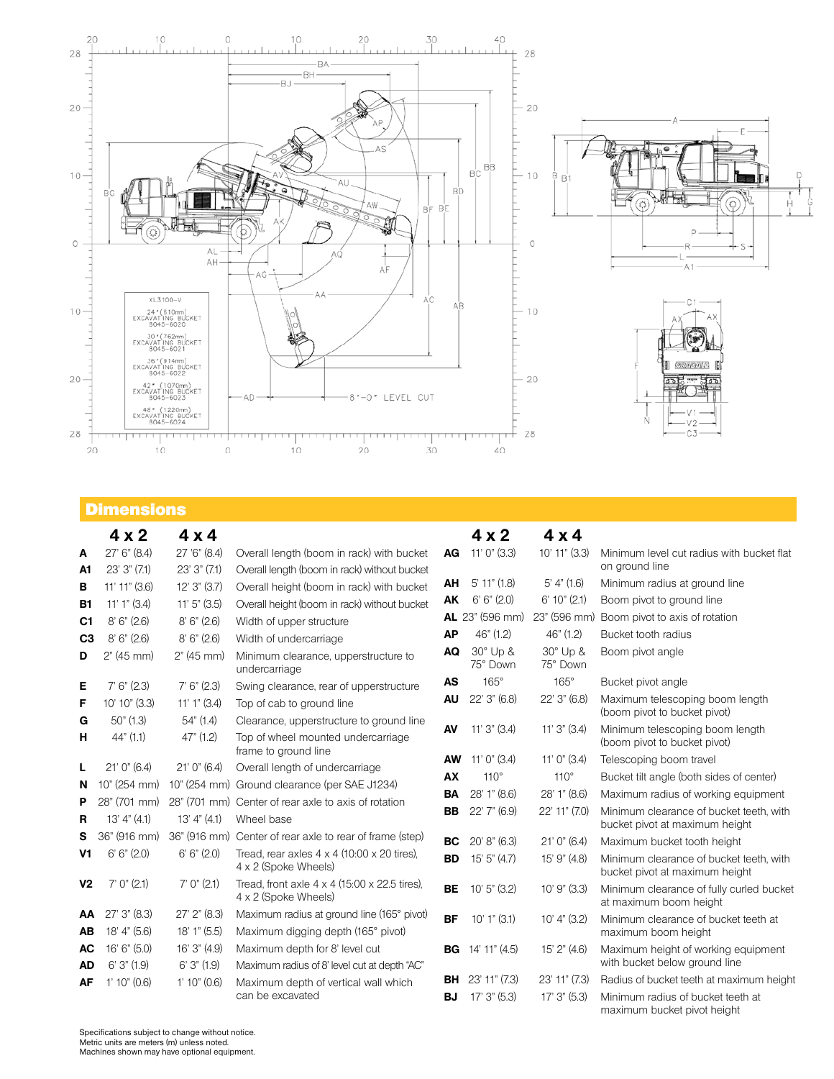

# Dimensions

|                | $4 \times 2$       | $4 \times 4$   |                                                                                     |           | $4 \times 2$         | $4 \times 4$         |                                                                           |
|----------------|--------------------|----------------|-------------------------------------------------------------------------------------|-----------|----------------------|----------------------|---------------------------------------------------------------------------|
| А              | 27' 6'' (8.4)      | 27 '6" (8.4)   | Overall length (boom in rack) with bucket                                           | AG        | $11'0''$ (3.3)       | $10'$ 11" $(3.3)$    | Minimum level cut radius with bucket flat                                 |
| A1             | 23'3''(7.1)        | 23' 3" (7.1)   | Overall length (boom in rack) without bucket                                        |           |                      |                      | on ground line                                                            |
| в              | 11' 11" (3.6)      | 12'3''(3.7)    | Overall height (boom in rack) with bucket                                           | AΗ        | $5'$ 11" $(1.8)$     | $5'$ 4" (1.6)        | Minimum radius at ground line                                             |
| <b>B1</b>      | $11'1''$ (3.4)     | $11'5''$ (3.5) | Overall height (boom in rack) without bucket                                        | AK        | 6' 6'' (2.0)         | $6'$ 10" (2.1)       | Boom pivot to ground line                                                 |
| C1             | 8'6''(2.6)         | 8'6''(2.6)     | Width of upper structure                                                            |           | $AL$ 23" (596 mm)    | 23" (596 mm)         | Boom pivot to axis of rotation                                            |
| C <sub>3</sub> | 8'6''(2.6)         | 8'6''(2.6)     | Width of undercarriage                                                              | <b>AP</b> | 46" (1.2)            | 46" (1.2)            | Bucket tooth radius                                                       |
| D              | 2" (45 mm)         | 2" (45 mm)     | Minimum clearance, upperstructure to<br>undercarriage                               | AQ        | 30° Up &<br>75° Down | 30° Up &<br>75° Down | Boom pivot angle                                                          |
| E              | 7' 6'' (2.3)       | 7' 6'' (2.3)   | Swing clearance, rear of upperstructure                                             | <b>AS</b> | $165^\circ$          | $165^\circ$          | Bucket pivot angle                                                        |
| F              | 10' 10" (3.3)      | $11'1''$ (3.4) | Top of cab to ground line                                                           | <b>AU</b> | 22' 3" (6.8)         | 22' 3" (6.8)         | Maximum telescoping boom length<br>(boom pivot to bucket pivot)           |
| G              | $50"$ (1.3)        | 54" (1.4)      | Clearance, upperstructure to ground line                                            | AV        | $11'3''$ (3.4)       | $11'3''$ (3.4)       | Minimum telescoping boom length                                           |
| н              | 44" (1.1)          | 47" (1.2)      | Top of wheel mounted undercarriage<br>frame to ground line                          |           |                      |                      | (boom pivot to bucket pivot)                                              |
| L              | 21'0''(6.4)        | $21'0''$ (6.4) | Overall length of undercarriage                                                     | <b>AW</b> | 11' 0" $(3.4)$       | $11'0''$ (3.4)       | Telescoping boom travel                                                   |
| N              | 10" (254 mm)       | 10" (254 mm)   | Ground clearance (per SAE J1234)                                                    | AX        | $110^\circ$          | $110^\circ$          | Bucket tilt angle (both sides of center)                                  |
| Р              | 28" (701 mm)       |                | 28" (701 mm) Center of rear axle to axis of rotation                                | BA        | 28' 1" (8.6)         | 28' 1" (8.6)         | Maximum radius of working equipment                                       |
| R              | 13' 4'' (4.1)      | 13' 4'' (4.1)  | Wheel base                                                                          | <b>BB</b> | $22'$ 7" $(6.9)$     | 22' 11" (7.0)        | Minimum clearance of bucket teeth, with<br>bucket pivot at maximum height |
| s              | 36" (916 mm)       |                | 36" (916 mm) Center of rear axle to rear of frame (step)                            | <b>BC</b> | 20' 8'' (6.3)        | 21'0''(6.4)          | Maximum bucket tooth height                                               |
| V <sub>1</sub> | 6' 6'' (2.0)       | 6' 6'' (2.0)   | Tread, rear axles $4 \times 4$ (10:00 $\times$ 20 tires).<br>4 x 2 (Spoke Wheels)   | <b>BD</b> | 15'5''(4.7)          | 15' 9" (4.8)         | Minimum clearance of bucket teeth, with<br>bucket pivot at maximum height |
| V <sub>2</sub> | $7'$ $0''$ $(2.1)$ | 7' 0'' (2.1)   | Tread, front axle $4 \times 4$ (15:00 $\times$ 22.5 tires).<br>4 x 2 (Spoke Wheels) | <b>BE</b> | 10' 5" (3.2)         | 10' 9" (3.3)         | Minimum clearance of fully curled bucket<br>at maximum boom height        |
| AA             | 27'3'' (8.3)       | 27' 2" (8.3)   | Maximum radius at ground line (165° pivot)                                          | <b>BF</b> | $10'1''$ (3.1)       | 10' 4'' (3.2)        | Minimum clearance of bucket teeth at                                      |
| AB             | 18' 4" (5.6)       | 18' 1" (5.5)   | Maximum digging depth (165° pivot)                                                  |           |                      |                      | maximum boom height                                                       |
| AC             | 16' 6" (5.0)       | 16' 3" (4.9)   | Maximum depth for 8' level cut                                                      | BG        | 14' 11" (4.5)        | 15' 2" (4.6)         | Maximum height of working equipment                                       |
| <b>AD</b>      | 6'3''(1.9)         | 6'3''(1.9)     | Maximum radius of 8' level cut at depth "AC"                                        |           |                      |                      | with bucket below ground line                                             |
| <b>AF</b>      | 1'10''(0.6)        | 1'10''(0.6)    | Maximum depth of vertical wall which                                                | BH        | 23' 11" (7.3)        | 23' 11" (7.3)        | Radius of bucket teeth at maximum height                                  |
|                |                    |                | can be excavated                                                                    | BJ        | $17'$ 3" $(5.3)$     | $17'$ 3" $(5.3)$     | Minimum radius of bucket teeth at<br>maximum bucket pivot height          |